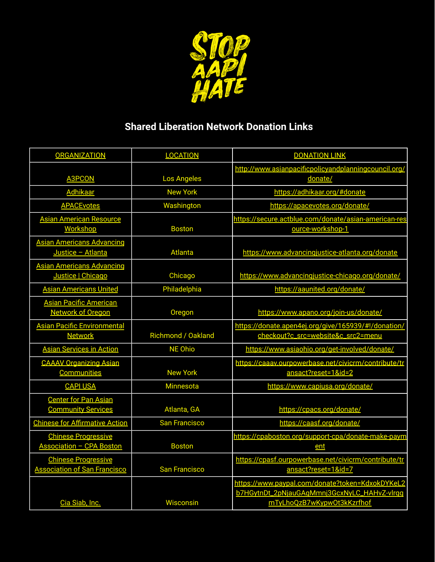

## **Shared Liberation Network Donation Links**

| <b>ORGANIZATION</b>                                               | <b>LOCATION</b>           | <b>DONATION LINK</b>                                                                                                         |
|-------------------------------------------------------------------|---------------------------|------------------------------------------------------------------------------------------------------------------------------|
| <b>A3PCON</b>                                                     | <b>Los Angeles</b>        | http://www.asianpacificpolicyandplanningcouncil.org/<br>donate/                                                              |
| <b>Adhikaar</b>                                                   | <b>New York</b>           | https://adhikaar.org/#donate                                                                                                 |
| <b>APACEvotes</b>                                                 | Washington                | https://apacevotes.org/donate/                                                                                               |
| <b>Asian American Resource</b><br><b>Workshop</b>                 | <b>Boston</b>             | https://secure.actblue.com/donate/asian-american-res<br>ource-workshop-1                                                     |
| <b>Asian Americans Advancing</b><br>Justice - Atlanta             | <b>Atlanta</b>            | https://www.advancingjustice-atlanta.org/donate                                                                              |
| <b>Asian Americans Advancing</b><br>Justice   Chicago             | Chicago                   | https://www.advancingjustice-chicago.org/donate/                                                                             |
| <b>Asian Americans United</b>                                     | Philadelphia              | https://aaunited.org/donate/                                                                                                 |
| <b>Asian Pacific American</b><br><b>Network of Oregon</b>         | Oregon                    | https://www.apano.org/join-us/donate/                                                                                        |
| <b>Asian Pacific Environmental</b>                                |                           | https://donate.apen4ej.org/give/165939/#!/donation/                                                                          |
| <b>Network</b>                                                    | <b>Richmond / Oakland</b> | checkout?c_src=website&c_src2=menu                                                                                           |
| <b>Asian Services in Action</b>                                   | <b>NE Ohio</b>            | https://www.asiaohio.org/get-involved/donate/                                                                                |
| <b>CAAAV Organizing Asian</b><br><b>Communities</b>               | <b>New York</b>           | https://caaav.ourpowerbase.net/civicrm/contribute/tr<br>ansact?reset=1&id=2                                                  |
| <b>CAPI USA</b>                                                   | <b>Minnesota</b>          | https://www.capiusa.org/donate/                                                                                              |
| <b>Center for Pan Asian</b><br><b>Community Services</b>          | Atlanta, GA               | https://cpacs.org/donate/                                                                                                    |
| <b>Chinese for Affirmative Action</b>                             | <b>San Francisco</b>      | https://caasf.org/donate/                                                                                                    |
| <b>Chinese Progressive</b><br><b>Association - CPA Boston</b>     | <b>Boston</b>             | https://cpaboston.org/support-cpa/donate-make-paym<br>ent                                                                    |
| <b>Chinese Progressive</b><br><b>Association of San Francisco</b> | <b>San Francisco</b>      | https://cpasf.ourpowerbase.net/civicrm/contribute/tr<br>ansact?reset=1&id=7                                                  |
| Cia Siab, Inc.                                                    | Wisconsin                 | https://www.paypal.com/donate?token=KdxokDYKeL2<br>b7HGytnDt_2pNjauGAgMmnj3GcxNyLC_HAHvZ-vlrgg<br>mTyLhoQzB7wKypwOt3kKzrfhof |